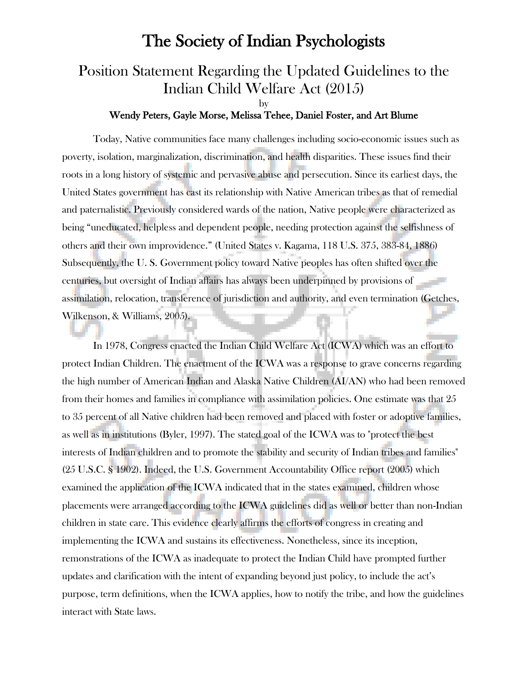# The Society of Indian Psychologists

# Position Statement Regarding the Updated Guidelines to the Indian Child Welfare Act (2015)

#### by

### Wendy Peters, Gayle Morse, Melissa Tehee, Daniel Foster, and Art Blume

Today, Native communities face many challenges including socio-economic issues such as poverty, isolation, marginalization, discrimination, and health disparities. These issues find their roots in a long history of systemic and pervasive abuse and persecution. Since its earliest days, the United States government has cast its relationship with Native American tribes as that of remedial and paternalistic. Previously considered wards of the nation, Native people were characterized as being "uneducated, helpless and dependent people, needing protection against the selfishness of others and their own improvidence." (United States v. Kagama, 118 U.S. 375, 383-84, 1886) Subsequently, the U. S. Government policy toward Native peoples has often shifted over the centuries, but oversight of Indian affairs has always been underpinned by provisions of assimilation, relocation, transference of jurisdiction and authority, and even termination (Getches, Wilkenson, & Williams, 2005).

In 1978, Congress enacted the Indian Child Welfare Act (ICWA) which was an effort to protect Indian Children. The enactment of the ICWA was a response to grave concerns regarding the high number of American Indian and Alaska Native Children (AI/AN) who had been removed from their homes and families in compliance with assimilation policies. One estimate was that 25 to 35 percent of all Native children had been removed and placed with foster or adoptive families, as well as in institutions (Byler, 1997). The stated goal of the ICWA was to "protect the best interests of Indian children and to promote the stability and security of Indian tribes and families" (25 U.S.C. § 1902). Indeed, the U.S. Government Accountability Office report (2005) which examined the application of the ICWA indicated that in the states examined, children whose placements were arranged according to the ICWA guidelines did as well or better than non-Indian children in state care. This evidence clearly affirms the efforts of congress in creating and implementing the ICWA and sustains its effectiveness. Nonetheless, since its inception, remonstrations of the ICWA as inadequate to protect the Indian Child have prompted further updates and clarification with the intent of expanding beyond just policy, to include the act's purpose, term definitions, when the ICWA applies, how to notify the tribe, and how the guidelines interact with State laws.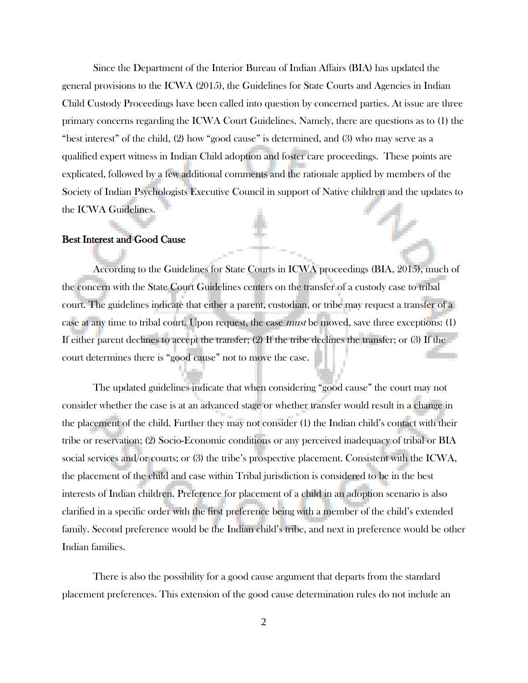Since the Department of the Interior Bureau of Indian Affairs (BIA) has updated the general provisions to the ICWA (2015), the Guidelines for State Courts and Agencies in Indian Child Custody Proceedings have been called into question by concerned parties. At issue are three primary concerns regarding the ICWA Court Guidelines. Namely, there are questions as to (1) the "best interest" of the child, (2) how "good cause" is determined, and (3) who may serve as a qualified expert witness in Indian Child adoption and foster care proceedings. These points are explicated, followed by a few additional comments and the rationale applied by members of the Society of Indian Psychologists Executive Council in support of Native children and the updates to the ICWA Guidelines.

#### Best Interest and Good Cause

According to the Guidelines for State Courts in ICWA proceedings (BIA, 2015), much of the concern with the State Court Guidelines centers on the transfer of a custody case to tribal court. The guidelines indicate that either a parent, custodian, or tribe may request a transfer of a case at any time to tribal court. Upon request, the case *must* be moved, save three exceptions: (1) If either parent declines to accept the transfer; (2) If the tribe declines the transfer; or (3) If the court determines there is "good cause" not to move the case.

The updated guidelines indicate that when considering "good cause" the court may not consider whether the case is at an advanced stage or whether transfer would result in a change in the placement of the child. Further they may not consider (1) the Indian child's contact with their tribe or reservation; (2) Socio-Economic conditions or any perceived inadequacy of tribal or BIA social services and/or courts; or (3) the tribe's prospective placement. Consistent with the ICWA, the placement of the child and case within Tribal jurisdiction is considered to be in the best interests of Indian children. Preference for placement of a child in an adoption scenario is also clarified in a specific order with the first preference being with a member of the child's extended family. Second preference would be the Indian child's tribe, and next in preference would be other Indian families.

There is also the possibility for a good cause argument that departs from the standard placement preferences. This extension of the good cause determination rules do not include an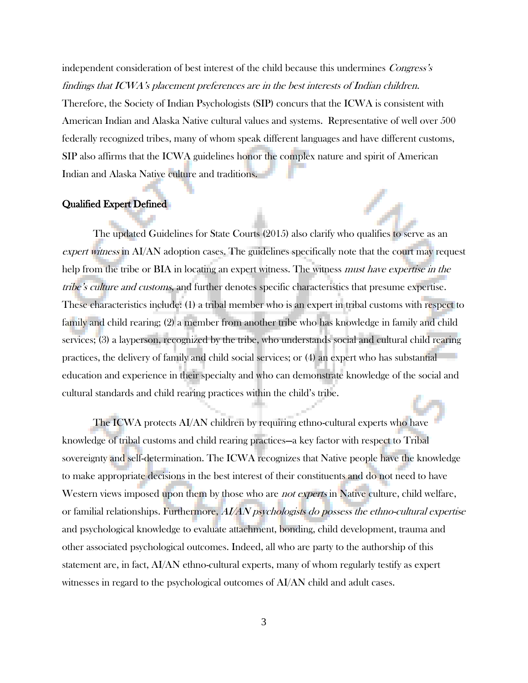independent consideration of best interest of the child because this undermines Congress's findings that ICWA's placement preferences are in the best interests of Indian children.

Therefore, the Society of Indian Psychologists (SIP) concurs that the ICWA is consistent with American Indian and Alaska Native cultural values and systems. Representative of well over 500 federally recognized tribes, many of whom speak different languages and have different customs, SIP also affirms that the ICWA guidelines honor the complex nature and spirit of American Indian and Alaska Native culture and traditions.

#### Qualified Expert Defined

The updated Guidelines for State Courts (2015) also clarify who qualifies to serve as an expert witness in AI/AN adoption cases. The guidelines specifically note that the court may request help from the tribe or BIA in locating an expert witness. The witness must have expertise in the tribe's culture and customs, and further denotes specific characteristics that presume expertise. These characteristics include: (1) a tribal member who is an expert in tribal customs with respect to family and child rearing; (2) a member from another tribe who has knowledge in family and child services; (3) a layperson, recognized by the tribe, who understands social and cultural child rearing practices, the delivery of family and child social services; or (4) an expert who has substantial education and experience in their specialty and who can demonstrate knowledge of the social and cultural standards and child rearing practices within the child's tribe.

The ICWA protects AI/AN children by requiring ethno-cultural experts who have knowledge of tribal customs and child rearing practices—a key factor with respect to Tribal sovereignty and self-determination. The ICWA recognizes that Native people have the knowledge to make appropriate decisions in the best interest of their constituents and do not need to have Western views imposed upon them by those who are *not experts* in Native culture, child welfare, or familial relationships. Furthermore, AI/AN psychologists do possess the ethno-cultural expertise and psychological knowledge to evaluate attachment, bonding, child development, trauma and other associated psychological outcomes. Indeed, all who are party to the authorship of this statement are, in fact, AI/AN ethno-cultural experts, many of whom regularly testify as expert witnesses in regard to the psychological outcomes of AI/AN child and adult cases.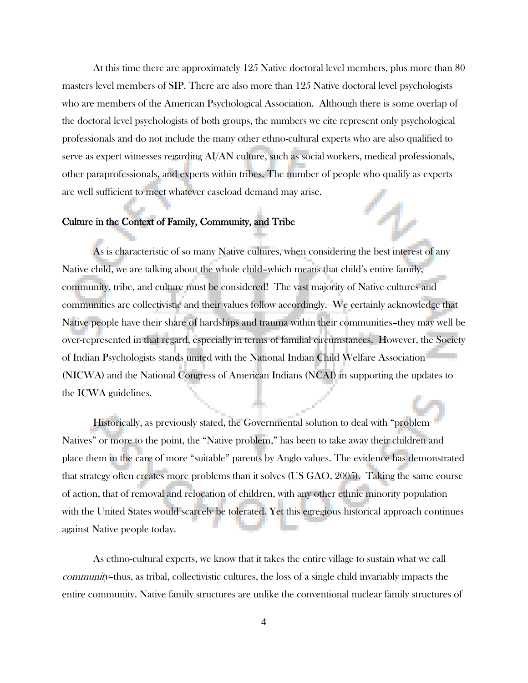At this time there are approximately 125 Native doctoral level members, plus more than 80 masters level members of SIP. There are also more than 125 Native doctoral level psychologists who are members of the American Psychological Association. Although there is some overlap of the doctoral level psychologists of both groups, the numbers we cite represent only psychological professionals and do not include the many other ethno-cultural experts who are also qualified to serve as expert witnesses regarding AI/AN culture, such as social workers, medical professionals, other paraprofessionals, and experts within tribes. The number of people who qualify as experts are well sufficient to meet whatever caseload demand may arise.

#### Culture in the Context of Family, Community, and Tribe

As is characteristic of so many Native cultures, when considering the best interest of any Native child, we are talking about the whole child–which means that child's entire family, community, tribe, and culture must be considered! The vast majority of Native cultures and communities are collectivistic and their values follow accordingly. We certainly acknowledge that Native people have their share of hardships and trauma within their communities–they may well be over-represented in that regard, especially in terms of familial circumstances. However, the Society of Indian Psychologists stands united with the National Indian Child Welfare Association (NICWA) and the National Congress of American Indians (NCAI) in supporting the updates to the ICWA guidelines.

Historically, as previously stated, the Governmental solution to deal with "problem Natives" or more to the point, the "Native problem," has been to take away their children and place them in the care of more "suitable" parents by Anglo values. The evidence has demonstrated that strategy often creates more problems than it solves (US GAO, 2005). Taking the same course of action, that of removal and relocation of children, with any other ethnic minority population with the United States would scarcely be tolerated. Yet this egregious historical approach continues against Native people today.

As ethno-cultural experts, we know that it takes the entire village to sustain what we call community–thus, as tribal, collectivistic cultures, the loss of a single child invariably impacts the entire community. Native family structures are unlike the conventional nuclear family structures of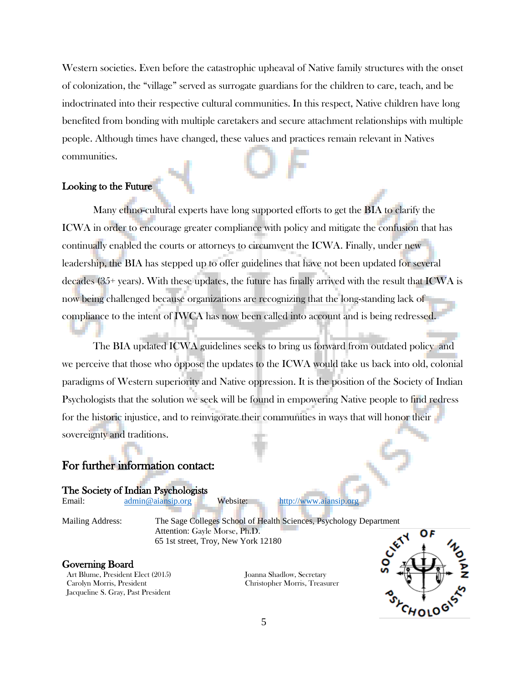Western societies. Even before the catastrophic upheaval of Native family structures with the onset of colonization, the "village" served as surrogate guardians for the children to care, teach, and be indoctrinated into their respective cultural communities. In this respect, Native children have long benefited from bonding with multiple caretakers and secure attachment relationships with multiple people. Although times have changed, these values and practices remain relevant in Natives communities.

### Looking to the Future

Many ethno-cultural experts have long supported efforts to get the BIA to clarify the ICWA in order to encourage greater compliance with policy and mitigate the confusion that has continually enabled the courts or attorneys to circumvent the ICWA. Finally, under new leadership, the BIA has stepped up to offer guidelines that have not been updated for several decades (35+ years). With these updates, the future has finally arrived with the result that ICWA is now being challenged because organizations are recognizing that the long-standing lack of compliance to the intent of IWCA has now been called into account and is being redressed.

The BIA updated ICWA guidelines seeks to bring us forward from outdated policy and we perceive that those who oppose the updates to the ICWA would take us back into old, colonial paradigms of Western superiority and Native oppression. It is the position of the Society of Indian Psychologists that the solution we seek will be found in empowering Native people to find redress for the historic injustice, and to reinvigorate their communities in ways that will honor their sovereignty and traditions.

## For further information contact:

The Society of Indian Psychologists

Email: [admin@aiansip.org](mailto:admin@aiansip.org) Website: [http://www.aiansip.org](http://www.aiansip.org/)

Mailing Address: The Sage Colleges School of Health Sciences, Psychology Department Attention: Gayle Morse, Ph.D. 65 1st street, Troy, New York 12180

#### Governing Board

Art Blume, President Elect (2015) Carolyn Morris, President Jacqueline S. Gray, Past President

Joanna Shadlow, Secretary Christopher Morris, Treasurer